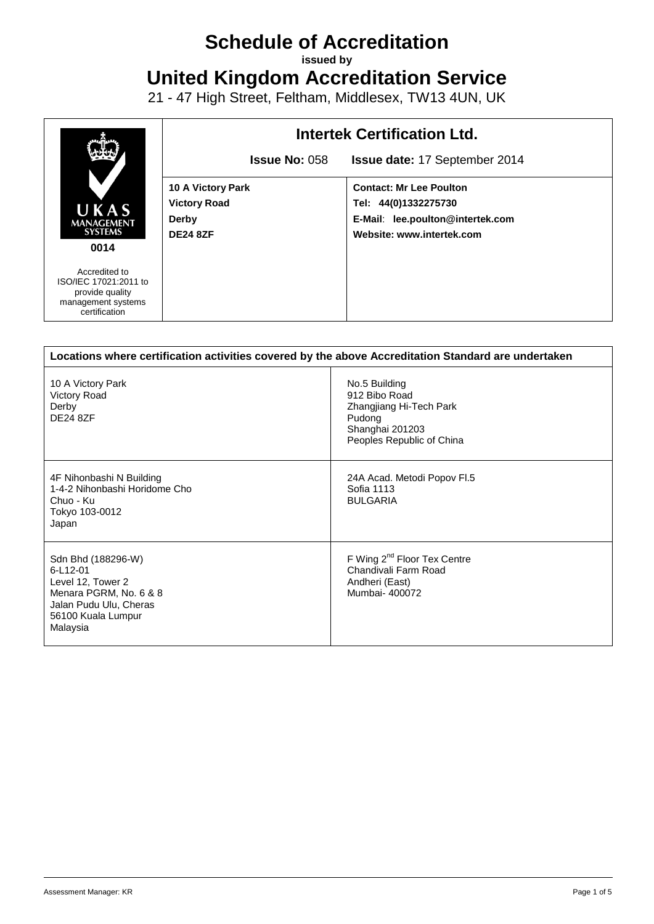# **Schedule of Accreditation**

**issued by**

**United Kingdom Accreditation Service**

21 - 47 High Street, Feltham, Middlesex, TW13 4UN, UK



| Locations where certification activities covered by the above Accreditation Standard are undertaken                                       |                                                                                                                     |  |  |
|-------------------------------------------------------------------------------------------------------------------------------------------|---------------------------------------------------------------------------------------------------------------------|--|--|
| 10 A Victory Park<br>Victory Road<br>Derby<br><b>DE24 8ZF</b>                                                                             | No.5 Building<br>912 Bibo Road<br>Zhangjiang Hi-Tech Park<br>Pudong<br>Shanghai 201203<br>Peoples Republic of China |  |  |
| 4F Nihonbashi N Building<br>1-4-2 Nihonbashi Horidome Cho<br>Chuo - Ku<br>Tokyo 103-0012<br>Japan                                         | 24A Acad. Metodi Popov Fl.5<br>Sofia 1113<br><b>BULGARIA</b>                                                        |  |  |
| Sdn Bhd (188296-W)<br>6-L12-01<br>Level 12, Tower 2<br>Menara PGRM, No. 6 & 8<br>Jalan Pudu Ulu, Cheras<br>56100 Kuala Lumpur<br>Malaysia | F Wing 2 <sup>nd</sup> Floor Tex Centre<br>Chandivali Farm Road<br>Andheri (East)<br>Mumbai- 400072                 |  |  |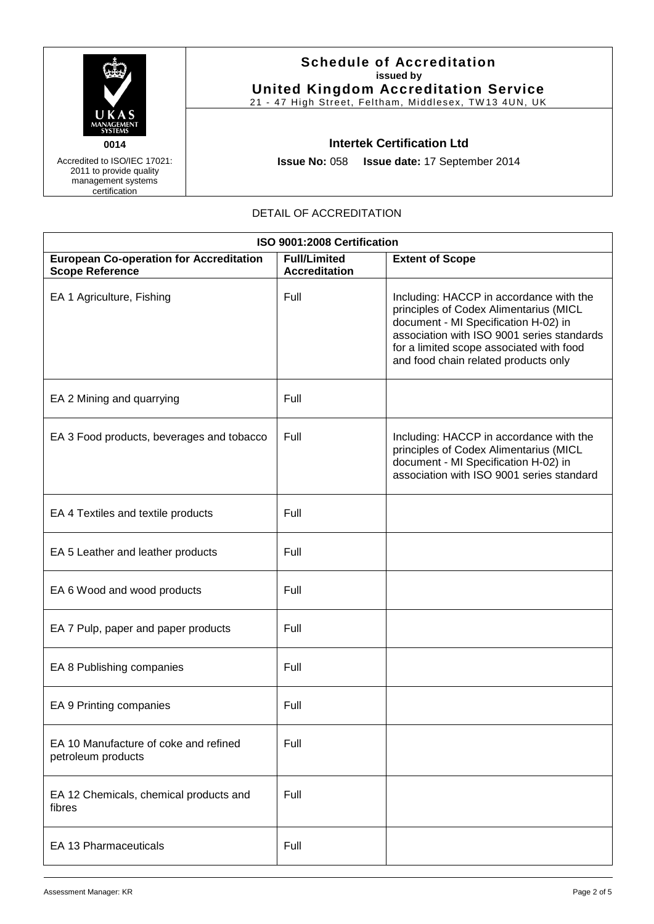

Accredited to ISO/IEC 17021: 2011 to provide quality management systems certification

# **Schedule of Accreditation issued by United Kingdom Accreditation Service**

21 - 47 High Street, Feltham, Middlesex, TW13 4UN, UK

#### **Intertek Certification Ltd**

**Issue No:** 058 **Issue date:** 17 September 2014

# DETAIL OF ACCREDITATION

| ISO 9001:2008 Certification                                              |                                             |                                                                                                                                                                                                                                                             |  |
|--------------------------------------------------------------------------|---------------------------------------------|-------------------------------------------------------------------------------------------------------------------------------------------------------------------------------------------------------------------------------------------------------------|--|
| <b>European Co-operation for Accreditation</b><br><b>Scope Reference</b> | <b>Full/Limited</b><br><b>Accreditation</b> | <b>Extent of Scope</b>                                                                                                                                                                                                                                      |  |
| EA 1 Agriculture, Fishing                                                | Full                                        | Including: HACCP in accordance with the<br>principles of Codex Alimentarius (MICL<br>document - MI Specification H-02) in<br>association with ISO 9001 series standards<br>for a limited scope associated with food<br>and food chain related products only |  |
| EA 2 Mining and quarrying                                                | Full                                        |                                                                                                                                                                                                                                                             |  |
| EA 3 Food products, beverages and tobacco                                | Full                                        | Including: HACCP in accordance with the<br>principles of Codex Alimentarius (MICL<br>document - MI Specification H-02) in<br>association with ISO 9001 series standard                                                                                      |  |
| EA 4 Textiles and textile products                                       | Full                                        |                                                                                                                                                                                                                                                             |  |
| EA 5 Leather and leather products                                        | Full                                        |                                                                                                                                                                                                                                                             |  |
| EA 6 Wood and wood products                                              | Full                                        |                                                                                                                                                                                                                                                             |  |
| EA 7 Pulp, paper and paper products                                      | Full                                        |                                                                                                                                                                                                                                                             |  |
| EA 8 Publishing companies                                                | Full                                        |                                                                                                                                                                                                                                                             |  |
| EA 9 Printing companies                                                  | Full                                        |                                                                                                                                                                                                                                                             |  |
| EA 10 Manufacture of coke and refined<br>petroleum products              | Full                                        |                                                                                                                                                                                                                                                             |  |
| EA 12 Chemicals, chemical products and<br>fibres                         | Full                                        |                                                                                                                                                                                                                                                             |  |
| <b>EA 13 Pharmaceuticals</b>                                             | Full                                        |                                                                                                                                                                                                                                                             |  |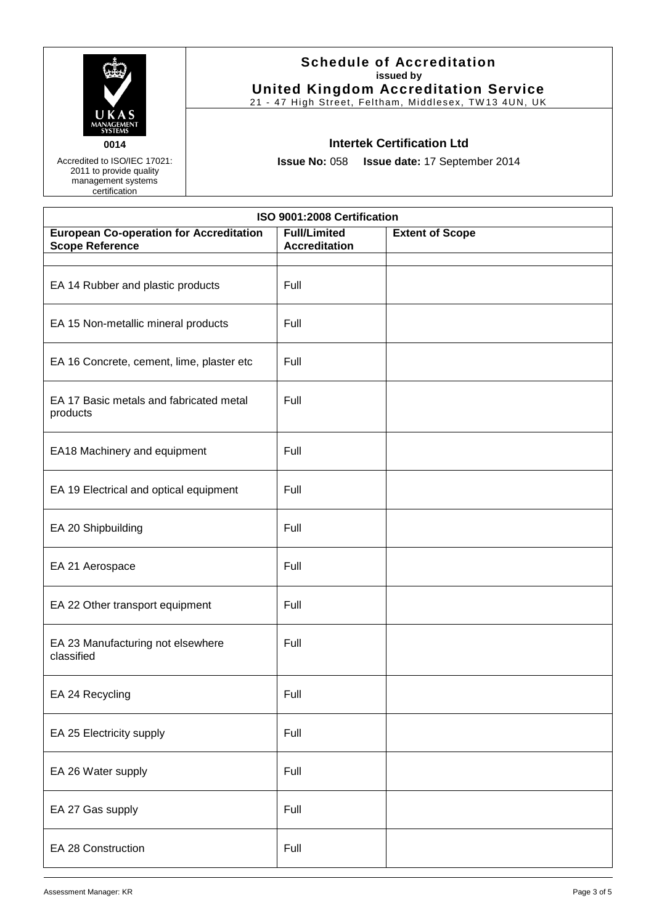

Accredited to ISO/IEC 17021: 2011 to provide quality management systems certification

# **Schedule of Accreditation issued by United Kingdom Accreditation Service**

21 - 47 High Street, Feltham, Middlesex, TW13 4UN, UK

#### **Intertek Certification Ltd**

**Issue No:** 058 **Issue date:** 17 September 2014

| ISO 9001:2008 Certification                                              |                                             |                        |  |
|--------------------------------------------------------------------------|---------------------------------------------|------------------------|--|
| <b>European Co-operation for Accreditation</b><br><b>Scope Reference</b> | <b>Full/Limited</b><br><b>Accreditation</b> | <b>Extent of Scope</b> |  |
|                                                                          |                                             |                        |  |
| EA 14 Rubber and plastic products                                        | Full                                        |                        |  |
| EA 15 Non-metallic mineral products                                      | Full                                        |                        |  |
| EA 16 Concrete, cement, lime, plaster etc                                | Full                                        |                        |  |
| EA 17 Basic metals and fabricated metal<br>products                      | Full                                        |                        |  |
| EA18 Machinery and equipment                                             | Full                                        |                        |  |
| EA 19 Electrical and optical equipment                                   | Full                                        |                        |  |
| EA 20 Shipbuilding                                                       | Full                                        |                        |  |
| EA 21 Aerospace                                                          | Full                                        |                        |  |
| EA 22 Other transport equipment                                          | Full                                        |                        |  |
| EA 23 Manufacturing not elsewhere<br>classified                          | Full                                        |                        |  |
| EA 24 Recycling                                                          | Full                                        |                        |  |
| EA 25 Electricity supply                                                 | Full                                        |                        |  |
| EA 26 Water supply                                                       | Full                                        |                        |  |
| EA 27 Gas supply                                                         | Full                                        |                        |  |
| EA 28 Construction                                                       | Full                                        |                        |  |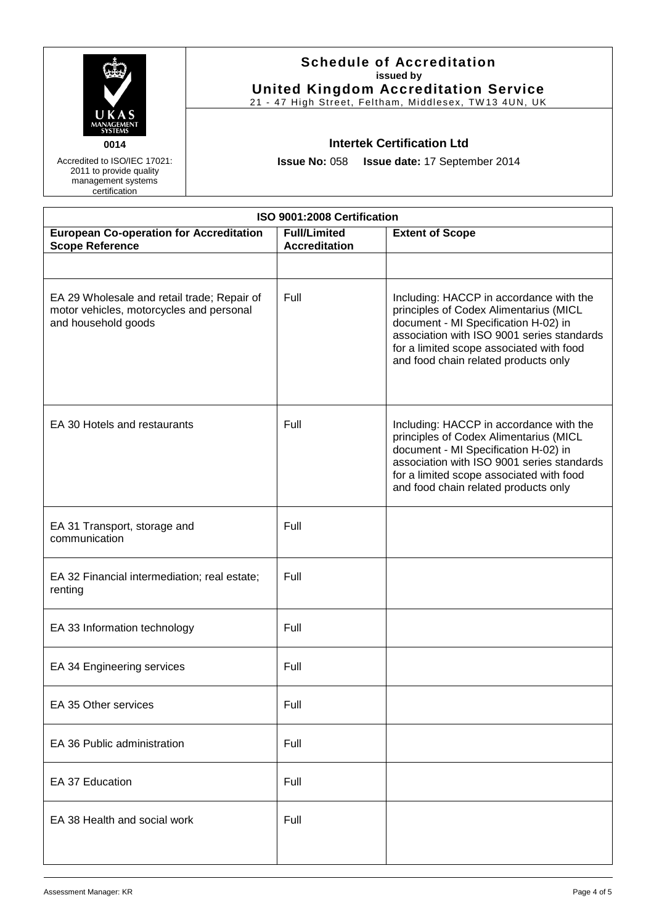| UKAS<br><b>MANAGEMENT</b><br><b>SYSTEMS</b> |  |
|---------------------------------------------|--|
| 0014                                        |  |

Accredited to ISO/IEC 17021: 2011 to provide quality management systems certification

# **Schedule of Accreditation issued by United Kingdom Accreditation Service**

21 - 47 High Street, Feltham, Middlesex, TW13 4UN, UK

# **Intertek Certification Ltd**

**Issue No:** 058 **Issue date:** 17 September 2014

| ISO 9001:2008 Certification                                                                                    |                                             |                                                                                                                                                                                                                                                             |  |
|----------------------------------------------------------------------------------------------------------------|---------------------------------------------|-------------------------------------------------------------------------------------------------------------------------------------------------------------------------------------------------------------------------------------------------------------|--|
| <b>European Co-operation for Accreditation</b><br><b>Scope Reference</b>                                       | <b>Full/Limited</b><br><b>Accreditation</b> | <b>Extent of Scope</b>                                                                                                                                                                                                                                      |  |
|                                                                                                                |                                             |                                                                                                                                                                                                                                                             |  |
| EA 29 Wholesale and retail trade; Repair of<br>motor vehicles, motorcycles and personal<br>and household goods | Full                                        | Including: HACCP in accordance with the<br>principles of Codex Alimentarius (MICL<br>document - MI Specification H-02) in<br>association with ISO 9001 series standards<br>for a limited scope associated with food<br>and food chain related products only |  |
| EA 30 Hotels and restaurants                                                                                   | Full                                        | Including: HACCP in accordance with the<br>principles of Codex Alimentarius (MICL<br>document - MI Specification H-02) in<br>association with ISO 9001 series standards<br>for a limited scope associated with food<br>and food chain related products only |  |
| EA 31 Transport, storage and<br>communication                                                                  | Full                                        |                                                                                                                                                                                                                                                             |  |
| EA 32 Financial intermediation; real estate;<br>renting                                                        | Full                                        |                                                                                                                                                                                                                                                             |  |
| EA 33 Information technology                                                                                   | Full                                        |                                                                                                                                                                                                                                                             |  |
| EA 34 Engineering services                                                                                     | Full                                        |                                                                                                                                                                                                                                                             |  |
| EA 35 Other services                                                                                           | Full                                        |                                                                                                                                                                                                                                                             |  |
| EA 36 Public administration                                                                                    | Full                                        |                                                                                                                                                                                                                                                             |  |
| EA 37 Education                                                                                                | Full                                        |                                                                                                                                                                                                                                                             |  |
| EA 38 Health and social work                                                                                   | Full                                        |                                                                                                                                                                                                                                                             |  |